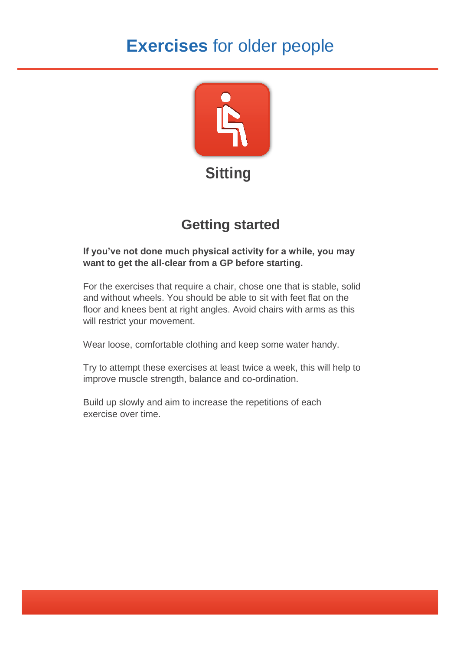# **Exercises** for older people



## **Getting started**

#### **If you've not done much physical activity for a while, you may want to get the all-clear from a GP before starting.**

For the exercises that require a chair, chose one that is stable, solid and without wheels. You should be able to sit with feet flat on the floor and knees bent at right angles. Avoid chairs with arms as this will restrict your movement.

Wear loose, comfortable clothing and keep some water handy.

Try to attempt these exercises at least twice a week, this will help to improve muscle strength, balance and co-ordination.

Build up slowly and aim to increase the repetitions of each exercise over time.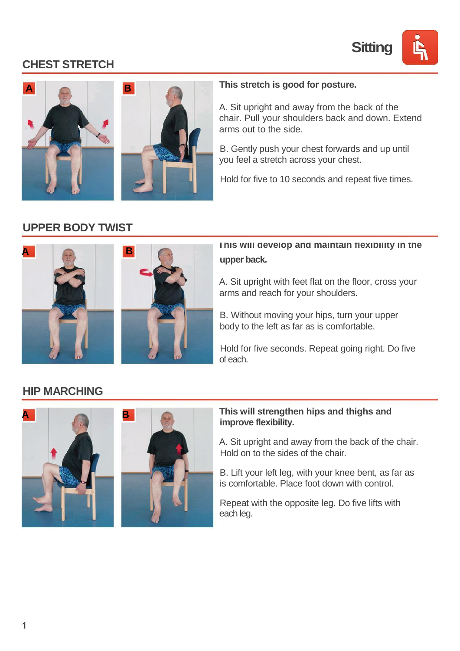

## **CHEST STRETCH**



#### **This stretch is good for posture.**

A. Sit upright and away from the back of the chair. Pull your shoulders back and down. Extend arms out to the side.

B. Gently push your chest forwards and up until you feel a stretch across your chest.

Hold for five to 10 seconds and repeat five times.

### **UPPER BODY TWIST**





#### **This will develop and maintain flexibility in the upper back.**

A. Sit upright with feet flat on the floor, cross your arms and reach for your shoulders.

B. Without moving your hips, turn your upper body to the left as far as is comfortable.

Hold for five seconds. Repeat going right. Do five of each.

#### **HIP MARCHING**



#### **A B This will strengthen hips and thighs and improve flexibility.**

A. Sit upright and away from the back of the chair. Hold on to the sides of the chair.

B. Lift your left leg, with your knee bent, as far as is comfortable. Place foot down with control.

Repeat with the opposite leg. Do five lifts with each leg.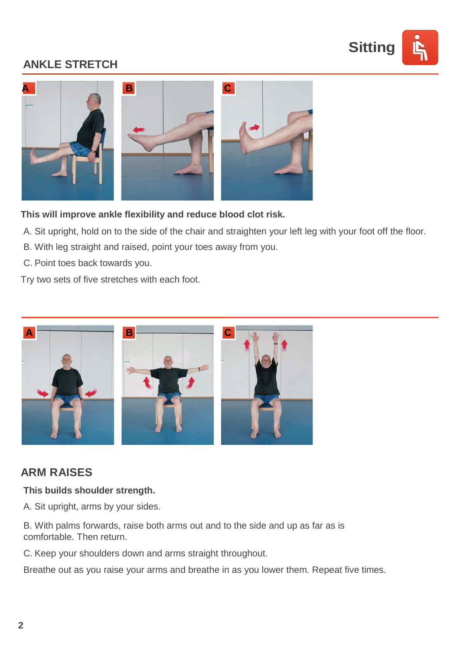

## **ANKLE STRETCH**



**This will improve ankle flexibility and reduce blood clot risk.**

- A. Sit upright, hold on to the side of the chair and straighten your left leg with your foot off the floor.
- B. With leg straight and raised, point your toes away from you.
- C. Point toes back towards you.

Try two sets of five stretches with each foot.



### **ARM RAISES**

#### **This builds shoulder strength.**

- A. Sit upright, arms by your sides.
- B. With palms forwards, raise both arms out and to the side and up as far as is comfortable. Then return.
- C. Keep your shoulders down and arms straight throughout.

Breathe out as you raise your arms and breathe in as you lower them. Repeat five times.